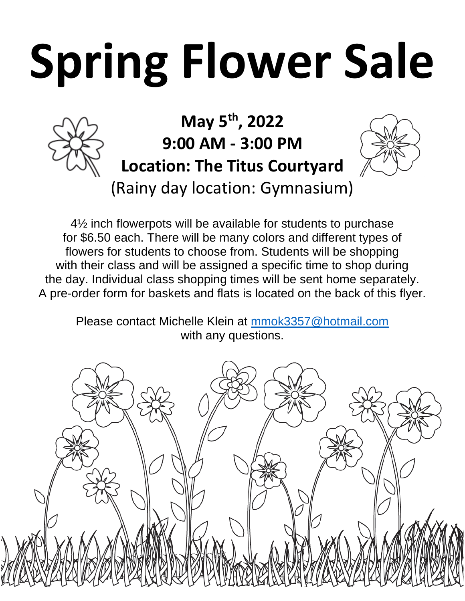## **Spring Flower Sale**



## **May 5 th, 2022 9:00 AM - 3:00 PM Location: The Titus Courtyard** (Rainy day location: Gymnasium)



4½ inch flowerpots will be available for students to purchase for \$6.50 each. There will be many colors and different types of flowers for students to choose from. Students will be shopping with their class and will be assigned a specific time to shop during the day. Individual class shopping times will be sent home separately. A pre-order form for baskets and flats is located on the back of this flyer.

Please contact Michelle Klein at [mmok3357@hotmail.com](mailto:amurphy9981@gmail.com) with any questions.